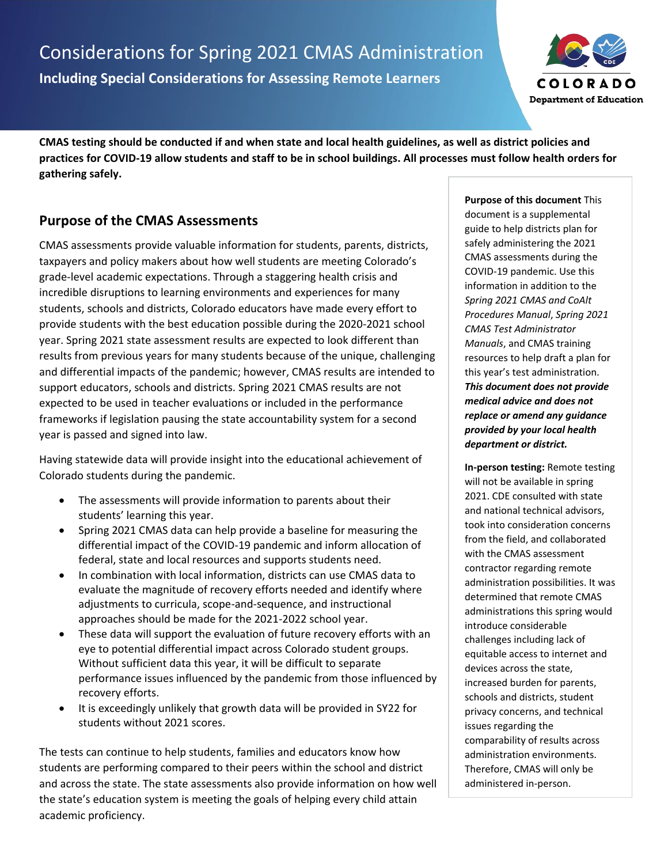

**CMAS testing should be conducted if and when state and local health guidelines, as well as district policies and practices for COVID-19 allow students and staff to be in school buildings. All processes must follow health orders for gathering safely.**

# **Purpose of the CMAS Assessments**

CMAS assessments provide valuable information for students, parents, districts, taxpayers and policy makers about how well students are meeting Colorado's grade-level academic expectations. Through a staggering health crisis and incredible disruptions to learning environments and experiences for many students, schools and districts, Colorado educators have made every effort to provide students with the best education possible during the 2020-2021 school year. Spring 2021 state assessment results are expected to look different than results from previous years for many students because of the unique, challenging and differential impacts of the pandemic; however, CMAS results are intended to support educators, schools and districts. Spring 2021 CMAS results are not expected to be used in teacher evaluations or included in the performance frameworks if legislation pausing the state accountability system for a second year is passed and signed into law.

Having statewide data will provide insight into the educational achievement of Colorado students during the pandemic.

- The assessments will provide information to parents about their students' learning this year.
- Spring 2021 CMAS data can help provide a baseline for measuring the differential impact of the COVID-19 pandemic and inform allocation of federal, state and local resources and supports students need.
- In combination with local information, districts can use CMAS data to evaluate the magnitude of recovery efforts needed and identify where adjustments to curricula, scope-and-sequence, and instructional approaches should be made for the 2021-2022 school year.
- These data will support the evaluation of future recovery efforts with an eye to potential differential impact across Colorado student groups. Without sufficient data this year, it will be difficult to separate performance issues influenced by the pandemic from those influenced by recovery efforts.
- It is exceedingly unlikely that growth data will be provided in SY22 for students without 2021 scores.

The tests can continue to help students, families and educators know how students are performing compared to their peers within the school and district and across the state. The state assessments also provide information on how well the state's education system is meeting the goals of helping every child attain academic proficiency.

**Purpose of this document** This document is a supplemental guide to help districts plan for safely administering the 2021 CMAS assessments during the COVID-19 pandemic. Use this information in addition to the *Spring 2021 CMAS and CoAlt Procedures Manual*, *Spring 2021 CMAS Test Administrator Manuals*, and CMAS training resources to help draft a plan for this year's test administration. *This document does not provide medical advice and does not replace or amend any guidance provided by your local health department or district.*

**In-person testing:** Remote testing will not be available in spring 2021. CDE consulted with state and national technical advisors, took into consideration concerns from the field, and collaborated with the CMAS assessment contractor regarding remote administration possibilities. It was determined that remote CMAS administrations this spring would introduce considerable challenges including lack of equitable access to internet and devices across the state, increased burden for parents, schools and districts, student privacy concerns, and technical issues regarding the comparability of results across administration environments. Therefore, CMAS will only be administered in-person.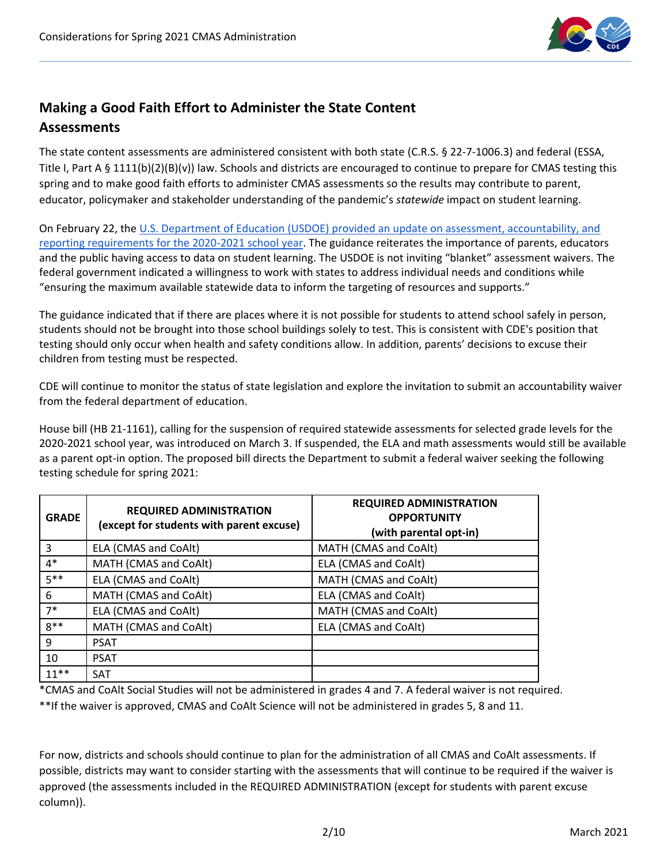

# **Making a Good Faith Effort to Administer the State Content Assessments**

The state content assessments are administered consistent with both state (C.R.S. § 22-7-1006.3) and federal (ESSA, Title I, Part A § 1111(b)(2)(B)(v)) law. Schools and districts are encouraged to continue to prepare for CMAS testing this spring and to make good faith efforts to administer CMAS assessments so the results may contribute to parent, educator, policymaker and stakeholder understanding of the pandemic's *statewide* impact on student learning.

On February 22, the [U.S. Department of Education \(USDOE\) provided an update on assessment, accountability, and](https://www2.ed.gov/policy/elsec/guid/stateletters/dcl-assessments-and-acct-022221.pdf)  [reporting requirements for the 2020-2021 school year.](https://www2.ed.gov/policy/elsec/guid/stateletters/dcl-assessments-and-acct-022221.pdf) The guidance reiterates the importance of parents, educators and the public having access to data on student learning. The USDOE is not inviting "blanket" assessment waivers. The federal government indicated a willingness to work with states to address individual needs and conditions while "ensuring the maximum available statewide data to inform the targeting of resources and supports."

The guidance indicated that if there are places where it is not possible for students to attend school safely in person, students should not be brought into those school buildings solely to test. This is consistent with CDE's position that testing should only occur when health and safety conditions allow. In addition, parents' decisions to excuse their children from testing must be respected.

CDE will continue to monitor the status of state legislation and explore the invitation to submit an accountability waiver from the federal department of education.

House bill (HB 21-1161), calling for the suspension of required statewide assessments for selected grade levels for the 2020-2021 school year, was introduced on March 3. If suspended, the ELA and math assessments would still be available as a parent opt-in option. The proposed bill directs the Department to submit a federal waiver seeking the following testing schedule for spring 2021:

| <b>GRADE</b> | <b>REQUIRED ADMINISTRATION</b><br>(except for students with parent excuse) | <b>REQUIRED ADMINISTRATION</b><br><b>OPPORTUNITY</b><br>(with parental opt-in) |
|--------------|----------------------------------------------------------------------------|--------------------------------------------------------------------------------|
| 3            | ELA (CMAS and CoAlt)                                                       | MATH (CMAS and CoAlt)                                                          |
| $4*$         | MATH (CMAS and CoAlt)                                                      | ELA (CMAS and CoAlt)                                                           |
| $5***$       | ELA (CMAS and CoAlt)                                                       | MATH (CMAS and CoAlt)                                                          |
| 6            | MATH (CMAS and CoAlt)                                                      | ELA (CMAS and CoAlt)                                                           |
| $7*$         | ELA (CMAS and CoAlt)                                                       | MATH (CMAS and CoAlt)                                                          |
| $8**$        | MATH (CMAS and CoAlt)                                                      | ELA (CMAS and CoAlt)                                                           |
| 9            | <b>PSAT</b>                                                                |                                                                                |
| 10           | <b>PSAT</b>                                                                |                                                                                |
| $11***$      | <b>SAT</b>                                                                 |                                                                                |

\*CMAS and CoAlt Social Studies will not be administered in grades 4 and 7. A federal waiver is not required.

\*\*If the waiver is approved, CMAS and CoAlt Science will not be administered in grades 5, 8 and 11.

For now, districts and schools should continue to plan for the administration of all CMAS and CoAlt assessments. If possible, districts may want to consider starting with the assessments that will continue to be required if the waiver is approved (the assessments included in the REQUIRED ADMINISTRATION (except for students with parent excuse column)).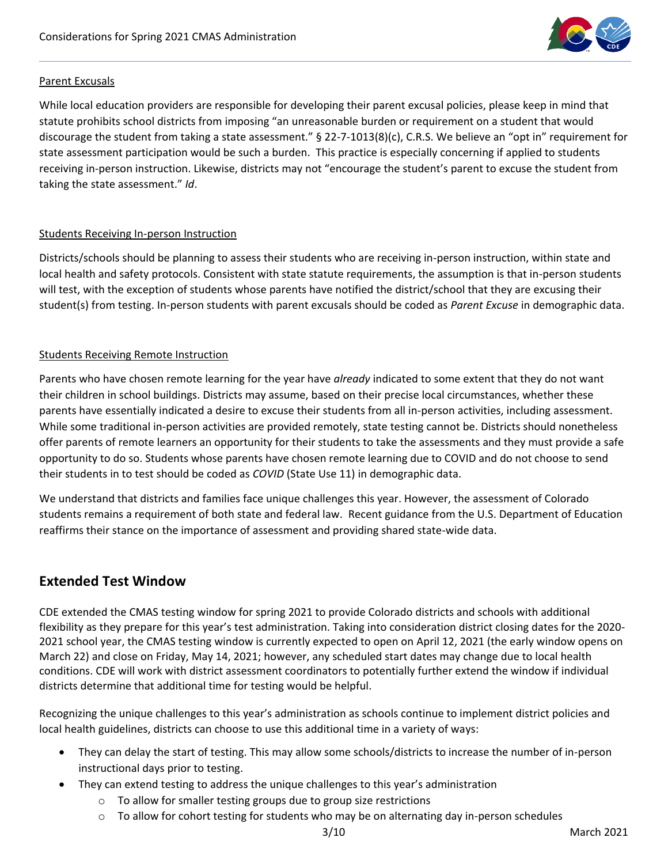

### Parent Excusals

While local education providers are responsible for developing their parent excusal policies, please keep in mind that statute prohibits school districts from imposing "an unreasonable burden or requirement on a student that would discourage the student from taking a state assessment." § 22-7-1013(8)(c), C.R.S. We believe an "opt in" requirement for state assessment participation would be such a burden. This practice is especially concerning if applied to students receiving in-person instruction. Likewise, districts may not "encourage the student's parent to excuse the student from taking the state assessment." *Id*.

### Students Receiving In-person Instruction

Districts/schools should be planning to assess their students who are receiving in-person instruction, within state and local health and safety protocols. Consistent with state statute requirements, the assumption is that in-person students will test, with the exception of students whose parents have notified the district/school that they are excusing their student(s) from testing. In-person students with parent excusals should be coded as *Parent Excuse* in demographic data.

### Students Receiving Remote Instruction

Parents who have chosen remote learning for the year have *already* indicated to some extent that they do not want their children in school buildings. Districts may assume, based on their precise local circumstances, whether these parents have essentially indicated a desire to excuse their students from all in-person activities, including assessment. While some traditional in-person activities are provided remotely, state testing cannot be. Districts should nonetheless offer parents of remote learners an opportunity for their students to take the assessments and they must provide a safe opportunity to do so. Students whose parents have chosen remote learning due to COVID and do not choose to send their students in to test should be coded as *COVID* (State Use 11) in demographic data.

We understand that districts and families face unique challenges this year. However, the assessment of Colorado students remains a requirement of both state and federal law. Recent guidance from the U.S. Department of Education reaffirms their stance on the importance of assessment and providing shared state-wide data.

### **Extended Test Window**

CDE extended the CMAS testing window for spring 2021 to provide Colorado districts and schools with additional flexibility as they prepare for this year's test administration. Taking into consideration district closing dates for the 2020- 2021 school year, the CMAS testing window is currently expected to open on April 12, 2021 (the early window opens on March 22) and close on Friday, May 14, 2021; however, any scheduled start dates may change due to local health conditions. CDE will work with district assessment coordinators to potentially further extend the window if individual districts determine that additional time for testing would be helpful.

Recognizing the unique challenges to this year's administration as schools continue to implement district policies and local health guidelines, districts can choose to use this additional time in a variety of ways:

- They can delay the start of testing. This may allow some schools/districts to increase the number of in-person instructional days prior to testing.
- They can extend testing to address the unique challenges to this year's administration
	- o To allow for smaller testing groups due to group size restrictions
	- $\circ$  To allow for cohort testing for students who may be on alternating day in-person schedules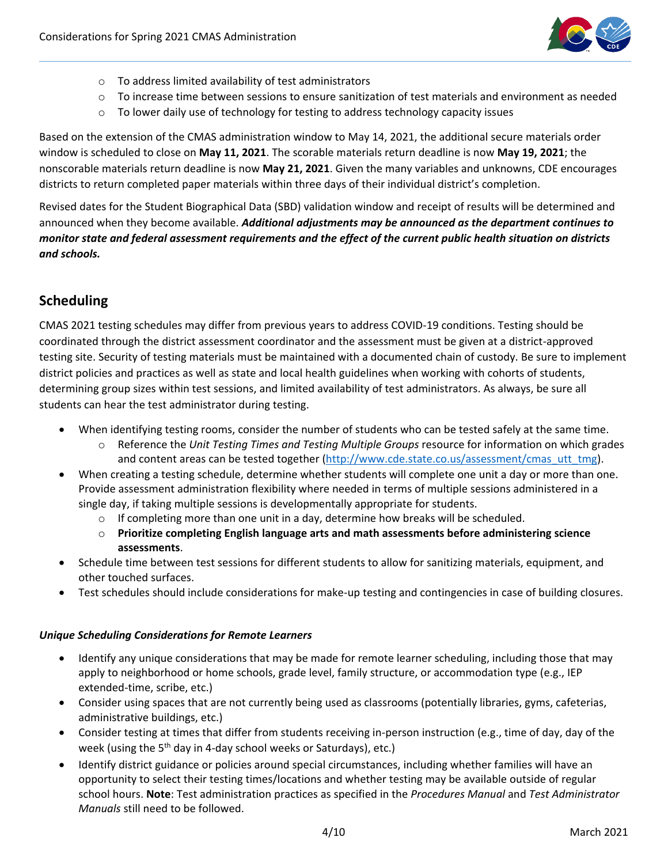

- o To address limited availability of test administrators
- $\circ$  To increase time between sessions to ensure sanitization of test materials and environment as needed
- $\circ$  To lower daily use of technology for testing to address technology capacity issues

Based on the extension of the CMAS administration window to May 14, 2021, the additional secure materials order window is scheduled to close on **May 11, 2021**. The scorable materials return deadline is now **May 19, 2021**; the nonscorable materials return deadline is now **May 21, 2021**. Given the many variables and unknowns, CDE encourages districts to return completed paper materials within three days of their individual district's completion.

Revised dates for the Student Biographical Data (SBD) validation window and receipt of results will be determined and announced when they become available. *Additional adjustments may be announced as the department continues to monitor state and federal assessment requirements and the effect of the current public health situation on districts and schools.*

# <span id="page-3-0"></span>**Scheduling**

CMAS 2021 testing schedules may differ from previous years to address COVID-19 conditions. Testing should be coordinated through the district assessment coordinator and the assessment must be given at a district-approved testing site. Security of testing materials must be maintained with a documented chain of custody. Be sure to implement district policies and practices as well as state and local health guidelines when working with cohorts of students, determining group sizes within test sessions, and limited availability of test administrators. As always, be sure all students can hear the test administrator during testing.

- When identifying testing rooms, consider the number of students who can be tested safely at the same time.
	- o Reference the *Unit Testing Times and Testing Multiple Groups* resource for information on which grades and content areas can be tested together [\(http://www.cde.state.co.us/assessment/cmas\\_utt\\_tmg\)](http://www.cde.state.co.us/assessment/cmas_utt_tmg).
- When creating a testing schedule, determine whether students will complete one unit a day or more than one. Provide assessment administration flexibility where needed in terms of multiple sessions administered in a single day, if taking multiple sessions is developmentally appropriate for students.
	- $\circ$  If completing more than one unit in a day, determine how breaks will be scheduled.
	- o **Prioritize completing English language arts and math assessments before administering science assessments**.
- Schedule time between test sessions for different students to allow for sanitizing materials, equipment, and other touched surfaces.
- Test schedules should include considerations for make-up testing and contingencies in case of building closures.

#### *Unique Scheduling Considerations for Remote Learners*

- Identify any unique considerations that may be made for remote learner scheduling, including those that may apply to neighborhood or home schools, grade level, family structure, or accommodation type (e.g., IEP extended-time, scribe, etc.)
- Consider using spaces that are not currently being used as classrooms (potentially libraries, gyms, cafeterias, administrative buildings, etc.)
- Consider testing at times that differ from students receiving in-person instruction (e.g., time of day, day of the week (using the 5<sup>th</sup> day in 4-day school weeks or Saturdays), etc.)
- Identify district guidance or policies around special circumstances, including whether families will have an opportunity to select their testing times/locations and whether testing may be available outside of regular school hours. **Note**: Test administration practices as specified in the *Procedures Manual* and *Test Administrator Manuals* still need to be followed.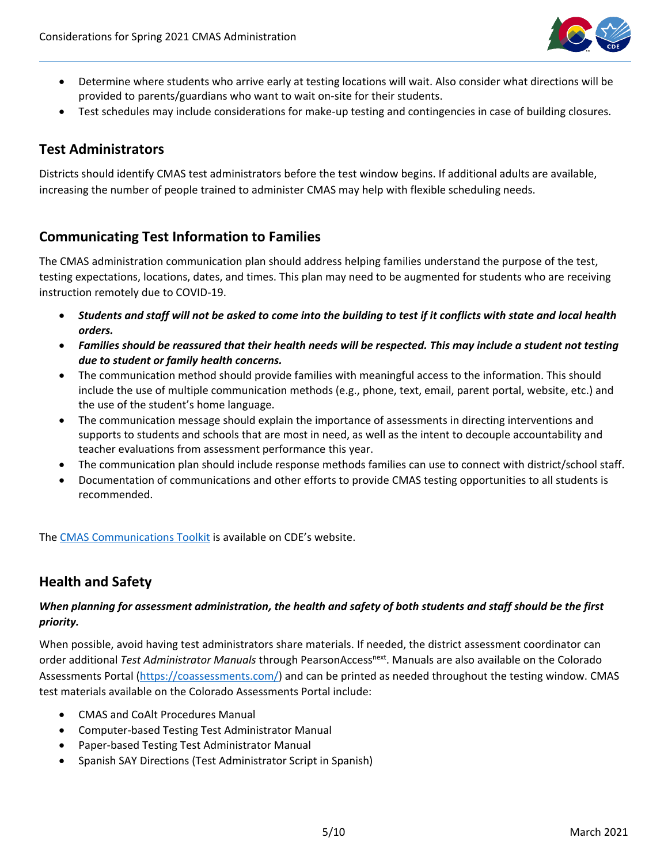

- Determine where students who arrive early at testing locations will wait. Also consider what directions will be provided to parents/guardians who want to wait on-site for their students.
- Test schedules may include considerations for make-up testing and contingencies in case of building closures.

## **Test Administrators**

Districts should identify CMAS test administrators before the test window begins. If additional adults are available, increasing the number of people trained to administer CMAS may help with flexible scheduling needs.

# <span id="page-4-0"></span>**Communicating Test Information to Families**

The CMAS administration communication plan should address helping families understand the purpose of the test, testing expectations, locations, dates, and times. This plan may need to be augmented for students who are receiving instruction remotely due to COVID-19.

- *Students and staff will not be asked to come into the building to test if it conflicts with state and local health orders.*
- *Families should be reassured that their health needs will be respected. This may include a student not testing due to student or family health concerns.*
- The communication method should provide families with meaningful access to the information. This should include the use of multiple communication methods (e.g., phone, text, email, parent portal, website, etc.) and the use of the student's home language.
- The communication message should explain the importance of assessments in directing interventions and supports to students and schools that are most in need, as well as the intent to decouple accountability and teacher evaluations from assessment performance this year.
- The communication plan should include response methods families can use to connect with district/school staff.
- Documentation of communications and other efforts to provide CMAS testing opportunities to all students is recommended.

The [CMAS Communications Toolkit](https://www.cde.state.co.us/assessment/resources) is available on CDE's website.

### <span id="page-4-1"></span>**Health and Safety**

### *When planning for assessment administration, the health and safety of both students and staff should be the first priority.*

When possible, avoid having test administrators share materials. If needed, the district assessment coordinator can order additional *Test Administrator Manuals* through PearsonAccess<sup>next</sup>. Manuals are also available on the Colorado Assessments Portal [\(https://coassessments.com/\)](https://coassessments.com/) and can be printed as needed throughout the testing window. CMAS test materials available on the Colorado Assessments Portal include:

- CMAS and CoAlt Procedures Manual
- Computer-based Testing Test Administrator Manual
- Paper-based Testing Test Administrator Manual
- Spanish SAY Directions (Test Administrator Script in Spanish)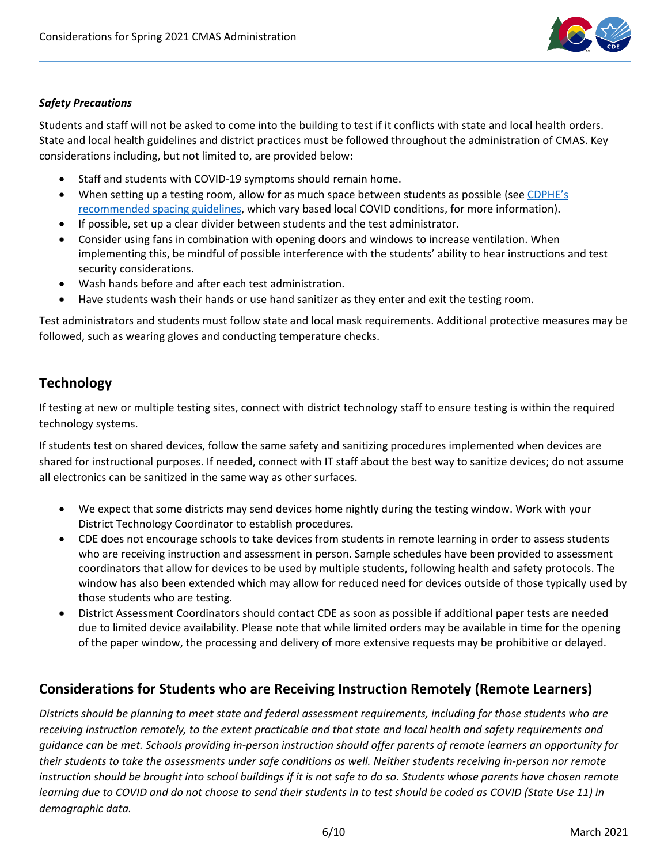

### *Safety Precautions*

Students and staff will not be asked to come into the building to test if it conflicts with state and local health orders. State and local health guidelines and district practices must be followed throughout the administration of CMAS. Key considerations including, but not limited to, are provided below:

- Staff and students with COVID-19 symptoms should remain home.
- When setting up a testing room, allow for as much space between students as possible (se[e CDPHE](https://www.cde.state.co.us/communications/threephasereopeningguidance)'s [recommended spacing](https://www.cde.state.co.us/communications/threephasereopeningguidance) guidelines, which vary based local COVID conditions, for more information).
- If possible, set up a clear divider between students and the test administrator.
- Consider using fans in combination with opening doors and windows to increase ventilation. When implementing this, be mindful of possible interference with the students' ability to hear instructions and test security considerations.
- Wash hands before and after each test administration.
- Have students wash their hands or use hand sanitizer as they enter and exit the testing room.

Test administrators and students must follow state and local mask requirements. Additional protective measures may be followed, such as wearing gloves and conducting temperature checks.

### **Technology**

If testing at new or multiple testing sites, connect with district technology staff to ensure testing is within the required technology systems.

If students test on shared devices, follow the same safety and sanitizing procedures implemented when devices are shared for instructional purposes. If needed, connect with IT staff about the best way to sanitize devices; do not assume all electronics can be sanitized in the same way as other surfaces.

- We expect that some districts may send devices home nightly during the testing window. Work with your District Technology Coordinator to establish procedures.
- CDE does not encourage schools to take devices from students in remote learning in order to assess students who are receiving instruction and assessment in person. Sample schedules have been provided to assessment coordinators that allow for devices to be used by multiple students, following health and safety protocols. The window has also been extended which may allow for reduced need for devices outside of those typically used by those students who are testing.
- District Assessment Coordinators should contact CDE as soon as possible if additional paper tests are needed due to limited device availability. Please note that while limited orders may be available in time for the opening of the paper window, the processing and delivery of more extensive requests may be prohibitive or delayed.

### **Considerations for Students who are Receiving Instruction Remotely (Remote Learners)**

*Districts should be planning to meet state and federal assessment requirements, including for those students who are receiving instruction remotely, to the extent practicable and that state and local health and safety requirements and guidance can be met. Schools providing in-person instruction should offer parents of remote learners an opportunity for their students to take the assessments under safe conditions as well. Neither students receiving in-person nor remote instruction should be brought into school buildings if it is not safe to do so. Students whose parents have chosen remote learning due to COVID and do not choose to send their students in to test should be coded as COVID (State Use 11) in demographic data.*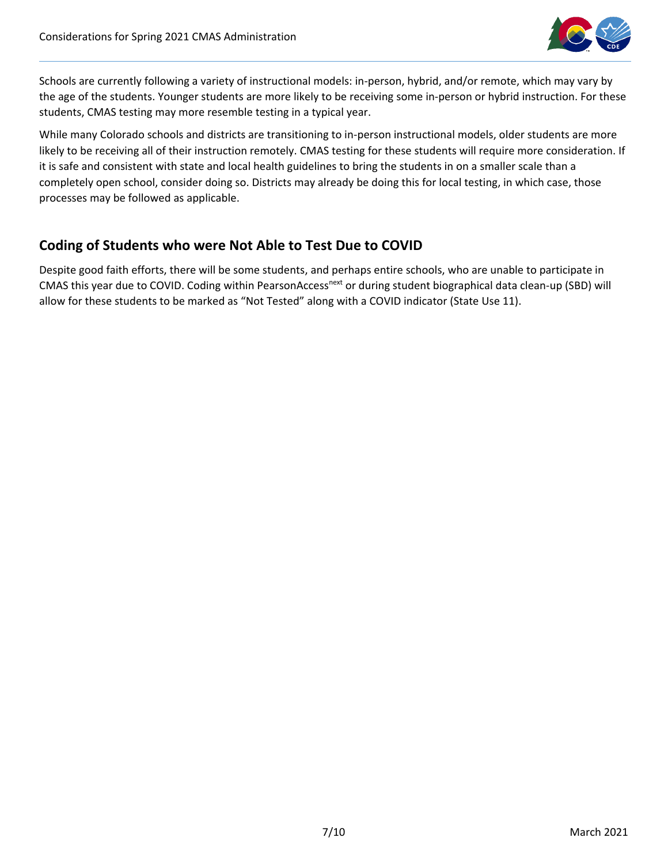

Schools are currently following a variety of instructional models: in-person, hybrid, and/or remote, which may vary by the age of the students. Younger students are more likely to be receiving some in-person or hybrid instruction. For these students, CMAS testing may more resemble testing in a typical year.

While many Colorado schools and districts are transitioning to in-person instructional models, older students are more likely to be receiving all of their instruction remotely. CMAS testing for these students will require more consideration. If it is safe and consistent with state and local health guidelines to bring the students in on a smaller scale than a completely open school, consider doing so. Districts may already be doing this for local testing, in which case, those processes may be followed as applicable.

# **Coding of Students who were Not Able to Test Due to COVID**

Despite good faith efforts, there will be some students, and perhaps entire schools, who are unable to participate in CMAS this year due to COVID. Coding within PearsonAccess<sup>next</sup> or during student biographical data clean-up (SBD) will allow for these students to be marked as "Not Tested" along with a COVID indicator (State Use 11).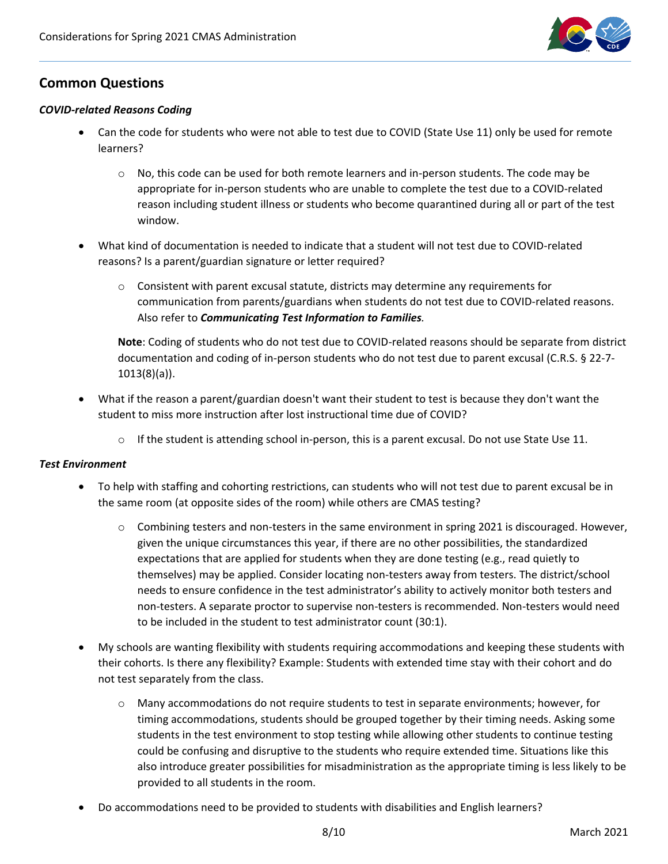

# **Common Questions**

#### *COVID-related Reasons Coding*

- Can the code for students who were not able to test due to COVID (State Use 11) only be used for remote learners?
	- $\circ$  No, this code can be used for both remote learners and in-person students. The code may be appropriate for in-person students who are unable to complete the test due to a COVID-related reason including student illness or students who become quarantined during all or part of the test window.
- What kind of documentation is needed to indicate that a student will not test due to COVID-related reasons? Is a parent/guardian signature or letter required?
	- $\circ$  Consistent with parent excusal statute, districts may determine any requirements for communication from parents/guardians when students do not test due to COVID-related reasons. Also refer to *[Communicating Test Information to Families](#page-4-0).*

**Note**: Coding of students who do not test due to COVID-related reasons should be separate from district documentation and coding of in-person students who do not test due to parent excusal (C.R.S. § 22-7- 1013(8)(a)).

- What if the reason a parent/guardian doesn't want their student to test is because they don't want the student to miss more instruction after lost instructional time due of COVID?
	- $\circ$  If the student is attending school in-person, this is a parent excusal. Do not use State Use 11.

#### *Test Environment*

- To help with staffing and cohorting restrictions, can students who will not test due to parent excusal be in the same room (at opposite sides of the room) while others are CMAS testing?
	- o Combining testers and non-testers in the same environment in spring 2021 is discouraged. However, given the unique circumstances this year, if there are no other possibilities, the standardized expectations that are applied for students when they are done testing (e.g., read quietly to themselves) may be applied. Consider locating non-testers away from testers. The district/school needs to ensure confidence in the test administrator's ability to actively monitor both testers and non-testers. A separate proctor to supervise non-testers is recommended. Non-testers would need to be included in the student to test administrator count (30:1).
- My schools are wanting flexibility with students requiring accommodations and keeping these students with their cohorts. Is there any flexibility? Example: Students with extended time stay with their cohort and do not test separately from the class.
	- $\circ$  Many accommodations do not require students to test in separate environments; however, for timing accommodations, students should be grouped together by their timing needs. Asking some students in the test environment to stop testing while allowing other students to continue testing could be confusing and disruptive to the students who require extended time. Situations like this also introduce greater possibilities for misadministration as the appropriate timing is less likely to be provided to all students in the room.
- Do accommodations need to be provided to students with disabilities and English learners?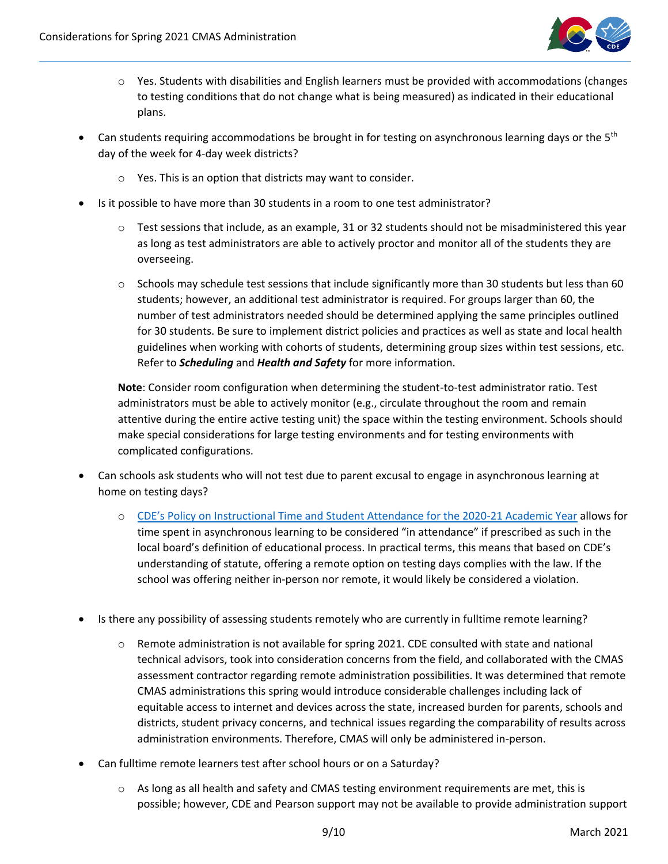

- o Yes. Students with disabilities and English learners must be provided with accommodations (changes to testing conditions that do not change what is being measured) as indicated in their educational plans.
- Can students requiring accommodations be brought in for testing on asynchronous learning days or the  $5<sup>th</sup>$ day of the week for 4-day week districts?
	- o Yes. This is an option that districts may want to consider.
- Is it possible to have more than 30 students in a room to one test administrator?
	- $\circ$  Test sessions that include, as an example, 31 or 32 students should not be misadministered this year as long as test administrators are able to actively proctor and monitor all of the students they are overseeing.
	- $\circ$  Schools may schedule test sessions that include significantly more than 30 students but less than 60 students; however, an additional test administrator is required. For groups larger than 60, the number of test administrators needed should be determined applying the same principles outlined for 30 students. Be sure to implement district policies and practices as well as state and local health guidelines when working with cohorts of students, determining group sizes within test sessions, etc. Refer to *[Scheduling](#page-3-0)* and *[Health and Safety](#page-4-1)* for more information.

**Note**: Consider room configuration when determining the student-to-test administrator ratio. Test administrators must be able to actively monitor (e.g., circulate throughout the room and remain attentive during the entire active testing unit) the space within the testing environment. Schools should make special considerations for large testing environments and for testing environments with complicated configurations.

- Can schools ask students who will not test due to parent excusal to engage in asynchronous learning at home on testing days?
	- o CDE's Po[licy on Instructional Time and Student Attendance for the 2020-21 Academic Year](https://www.cde.state.co.us/cdefinance/cde_policy_on_instructional_hours_and_attendance) allows for time spent in asynchronous learning to be considered "in attendance" if prescribed as such in the local board's definition of educational process. In practical terms, this means that based on CDE's understanding of statute, offering a remote option on testing days complies with the law. If the school was offering neither in-person nor remote, it would likely be considered a violation.
- Is there any possibility of assessing students remotely who are currently in fulltime remote learning?
	- $\circ$  Remote administration is not available for spring 2021. CDE consulted with state and national technical advisors, took into consideration concerns from the field, and collaborated with the CMAS assessment contractor regarding remote administration possibilities. It was determined that remote CMAS administrations this spring would introduce considerable challenges including lack of equitable access to internet and devices across the state, increased burden for parents, schools and districts, student privacy concerns, and technical issues regarding the comparability of results across administration environments. Therefore, CMAS will only be administered in-person.
- Can fulltime remote learners test after school hours or on a Saturday?
	- $\circ$  As long as all health and safety and CMAS testing environment requirements are met, this is possible; however, CDE and Pearson support may not be available to provide administration support